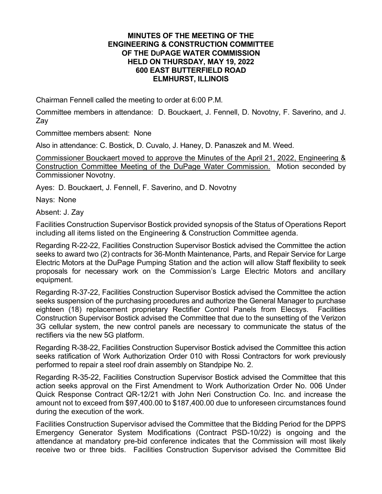## **MINUTES OF THE MEETING OF THE ENGINEERING & CONSTRUCTION COMMITTEE OF THE DUPAGE WATER COMMISSION HELD ON THURSDAY, MAY 19, 2022 600 EAST BUTTERFIELD ROAD ELMHURST, ILLINOIS**

Chairman Fennell called the meeting to order at 6:00 P.M.

Committee members in attendance: D. Bouckaert, J. Fennell, D. Novotny, F. Saverino, and J. Zay

Committee members absent: None

Also in attendance: C. Bostick, D. Cuvalo, J. Haney, D. Panaszek and M. Weed.

Commissioner Bouckaert moved to approve the Minutes of the April 21, 2022, Engineering & Construction Committee Meeting of the DuPage Water Commission. Motion seconded by Commissioner Novotny.

Ayes: D. Bouckaert, J. Fennell, F. Saverino, and D. Novotny

Nays: None

Absent: J. Zay

Facilities Construction Supervisor Bostick provided synopsis of the Status of Operations Report including all items listed on the Engineering & Construction Committee agenda.

Regarding R-22-22, Facilities Construction Supervisor Bostick advised the Committee the action seeks to award two (2) contracts for 36-Month Maintenance, Parts, and Repair Service for Large Electric Motors at the DuPage Pumping Station and the action will allow Staff flexibility to seek proposals for necessary work on the Commission's Large Electric Motors and ancillary equipment.

Regarding R-37-22, Facilities Construction Supervisor Bostick advised the Committee the action seeks suspension of the purchasing procedures and authorize the General Manager to purchase eighteen (18) replacement proprietary Rectifier Control Panels from Elecsys. Facilities Construction Supervisor Bostick advised the Committee that due to the sunsetting of the Verizon 3G cellular system, the new control panels are necessary to communicate the status of the rectifiers via the new 5G platform.

Regarding R-38-22, Facilities Construction Supervisor Bostick advised the Committee this action seeks ratification of Work Authorization Order 010 with Rossi Contractors for work previously performed to repair a steel roof drain assembly on Standpipe No. 2.

Regarding R-35-22, Facilities Construction Supervisor Bostick advised the Committee that this action seeks approval on the First Amendment to Work Authorization Order No. 006 Under Quick Response Contract QR-12/21 with John Neri Construction Co. Inc. and increase the amount not to exceed from \$97,400.00 to \$187,400.00 due to unforeseen circumstances found during the execution of the work.

Facilities Construction Supervisor advised the Committee that the Bidding Period for the DPPS Emergency Generator System Modifications (Contract PSD-10/22) is ongoing and the attendance at mandatory pre-bid conference indicates that the Commission will most likely receive two or three bids. Facilities Construction Supervisor advised the Committee Bid